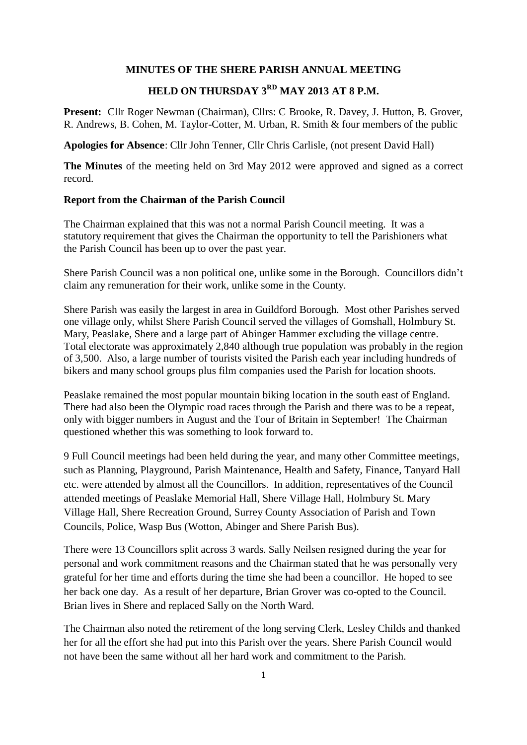#### **MINUTES OF THE SHERE PARISH ANNUAL MEETING**

# **HELD ON THURSDAY 3RD MAY 2013 AT 8 P.M.**

**Present:** Cllr Roger Newman (Chairman), Cllrs: C Brooke, R. Davey, J. Hutton, B. Grover, R. Andrews, B. Cohen, M. Taylor-Cotter, M. Urban, R. Smith & four members of the public

**Apologies for Absence**: Cllr John Tenner, Cllr Chris Carlisle, (not present David Hall)

**The Minutes** of the meeting held on 3rd May 2012 were approved and signed as a correct record.

#### **Report from the Chairman of the Parish Council**

The Chairman explained that this was not a normal Parish Council meeting. It was a statutory requirement that gives the Chairman the opportunity to tell the Parishioners what the Parish Council has been up to over the past year.

Shere Parish Council was a non political one, unlike some in the Borough. Councillors didn't claim any remuneration for their work, unlike some in the County.

Shere Parish was easily the largest in area in Guildford Borough. Most other Parishes served one village only, whilst Shere Parish Council served the villages of Gomshall, Holmbury St. Mary, Peaslake, Shere and a large part of Abinger Hammer excluding the village centre. Total electorate was approximately 2,840 although true population was probably in the region of 3,500. Also, a large number of tourists visited the Parish each year including hundreds of bikers and many school groups plus film companies used the Parish for location shoots.

Peaslake remained the most popular mountain biking location in the south east of England. There had also been the Olympic road races through the Parish and there was to be a repeat, only with bigger numbers in August and the Tour of Britain in September! The Chairman questioned whether this was something to look forward to.

9 Full Council meetings had been held during the year, and many other Committee meetings, such as Planning, Playground, Parish Maintenance, Health and Safety, Finance, Tanyard Hall etc. were attended by almost all the Councillors. In addition, representatives of the Council attended meetings of Peaslake Memorial Hall, Shere Village Hall, Holmbury St. Mary Village Hall, Shere Recreation Ground, Surrey County Association of Parish and Town Councils, Police, Wasp Bus (Wotton, Abinger and Shere Parish Bus).

There were 13 Councillors split across 3 wards. Sally Neilsen resigned during the year for personal and work commitment reasons and the Chairman stated that he was personally very grateful for her time and efforts during the time she had been a councillor. He hoped to see her back one day. As a result of her departure, Brian Grover was co-opted to the Council. Brian lives in Shere and replaced Sally on the North Ward.

The Chairman also noted the retirement of the long serving Clerk, Lesley Childs and thanked her for all the effort she had put into this Parish over the years. Shere Parish Council would not have been the same without all her hard work and commitment to the Parish.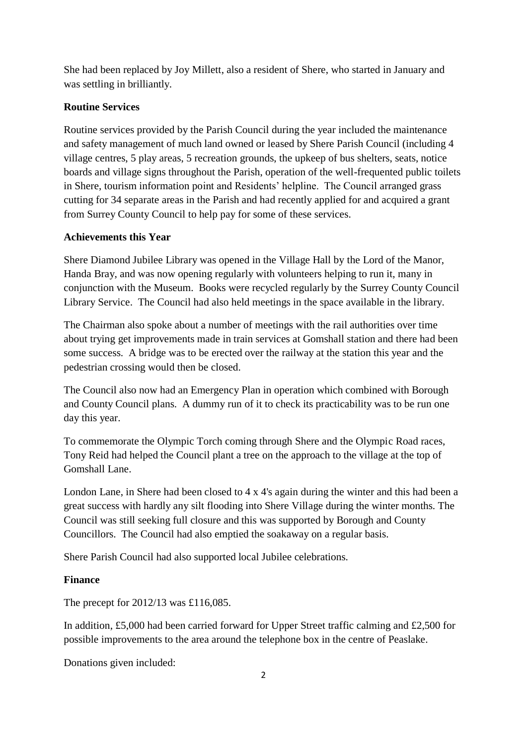She had been replaced by Joy Millett, also a resident of Shere, who started in January and was settling in brilliantly.

## **Routine Services**

Routine services provided by the Parish Council during the year included the maintenance and safety management of much land owned or leased by Shere Parish Council (including 4 village centres, 5 play areas, 5 recreation grounds, the upkeep of bus shelters, seats, notice boards and village signs throughout the Parish, operation of the well-frequented public toilets in Shere, tourism information point and Residents' helpline. The Council arranged grass cutting for 34 separate areas in the Parish and had recently applied for and acquired a grant from Surrey County Council to help pay for some of these services.

### **Achievements this Year**

Shere Diamond Jubilee Library was opened in the Village Hall by the Lord of the Manor, Handa Bray, and was now opening regularly with volunteers helping to run it, many in conjunction with the Museum. Books were recycled regularly by the Surrey County Council Library Service. The Council had also held meetings in the space available in the library.

The Chairman also spoke about a number of meetings with the rail authorities over time about trying get improvements made in train services at Gomshall station and there had been some success. A bridge was to be erected over the railway at the station this year and the pedestrian crossing would then be closed.

The Council also now had an Emergency Plan in operation which combined with Borough and County Council plans. A dummy run of it to check its practicability was to be run one day this year.

To commemorate the Olympic Torch coming through Shere and the Olympic Road races, Tony Reid had helped the Council plant a tree on the approach to the village at the top of Gomshall Lane.

London Lane, in Shere had been closed to 4 x 4's again during the winter and this had been a great success with hardly any silt flooding into Shere Village during the winter months. The Council was still seeking full closure and this was supported by Borough and County Councillors. The Council had also emptied the soakaway on a regular basis.

Shere Parish Council had also supported local Jubilee celebrations.

# **Finance**

The precept for 2012/13 was £116,085.

In addition, £5,000 had been carried forward for Upper Street traffic calming and £2,500 for possible improvements to the area around the telephone box in the centre of Peaslake.

Donations given included: